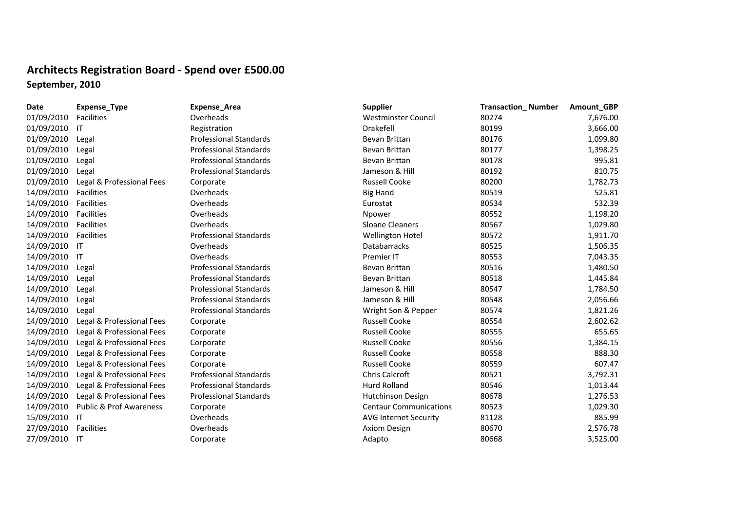## **Architects Registration Board ‐ Spend over £500.00 September, 2010**

| Date          | Expense_Type                       | <b>Expense_Area</b>           | <b>Supplier</b>               | <b>Transaction_Number</b> | Amount_GBP |
|---------------|------------------------------------|-------------------------------|-------------------------------|---------------------------|------------|
| 01/09/2010    | <b>Facilities</b>                  | Overheads                     | Westminster Council           | 80274                     | 7,676.00   |
| 01/09/2010    | -IT                                | Registration                  | Drakefell                     | 80199                     | 3,666.00   |
| 01/09/2010    | Legal                              | <b>Professional Standards</b> | Bevan Brittan                 | 80176                     | 1,099.80   |
| 01/09/2010    | Legal                              | <b>Professional Standards</b> | Bevan Brittan                 | 80177                     | 1,398.25   |
| 01/09/2010    | Legal                              | <b>Professional Standards</b> | Bevan Brittan                 | 80178                     | 995.81     |
| 01/09/2010    | Legal                              | <b>Professional Standards</b> | Jameson & Hill                | 80192                     | 810.75     |
| 01/09/2010    | Legal & Professional Fees          | Corporate                     | <b>Russell Cooke</b>          | 80200                     | 1,782.73   |
| 14/09/2010    | <b>Facilities</b>                  | Overheads                     | <b>Big Hand</b>               | 80519                     | 525.81     |
| 14/09/2010    | <b>Facilities</b>                  | Overheads                     | Eurostat                      | 80534                     | 532.39     |
| 14/09/2010    | Facilities                         | Overheads                     | Npower                        | 80552                     | 1,198.20   |
| 14/09/2010    | Facilities                         | Overheads                     | <b>Sloane Cleaners</b>        | 80567                     | 1,029.80   |
| 14/09/2010    | Facilities                         | <b>Professional Standards</b> | <b>Wellington Hotel</b>       | 80572                     | 1,911.70   |
| 14/09/2010    | -IT                                | Overheads                     | <b>Databarracks</b>           | 80525                     | 1,506.35   |
| 14/09/2010    | -IT                                | Overheads                     | Premier IT                    | 80553                     | 7,043.35   |
| 14/09/2010    | Legal                              | <b>Professional Standards</b> | Bevan Brittan                 | 80516                     | 1,480.50   |
| 14/09/2010    | Legal                              | <b>Professional Standards</b> | Bevan Brittan                 | 80518                     | 1,445.84   |
| 14/09/2010    | Legal                              | <b>Professional Standards</b> | Jameson & Hill                | 80547                     | 1,784.50   |
| 14/09/2010    | Legal                              | <b>Professional Standards</b> | Jameson & Hill                | 80548                     | 2,056.66   |
| 14/09/2010    | Legal                              | <b>Professional Standards</b> | Wright Son & Pepper           | 80574                     | 1,821.26   |
| 14/09/2010    | Legal & Professional Fees          | Corporate                     | <b>Russell Cooke</b>          | 80554                     | 2,602.62   |
| 14/09/2010    | Legal & Professional Fees          | Corporate                     | <b>Russell Cooke</b>          | 80555                     | 655.65     |
| 14/09/2010    | Legal & Professional Fees          | Corporate                     | <b>Russell Cooke</b>          | 80556                     | 1,384.15   |
| 14/09/2010    | Legal & Professional Fees          | Corporate                     | <b>Russell Cooke</b>          | 80558                     | 888.30     |
| 14/09/2010    | Legal & Professional Fees          | Corporate                     | <b>Russell Cooke</b>          | 80559                     | 607.47     |
| 14/09/2010    | Legal & Professional Fees          | <b>Professional Standards</b> | Chris Calcroft                | 80521                     | 3,792.31   |
| 14/09/2010    | Legal & Professional Fees          | <b>Professional Standards</b> | <b>Hurd Rolland</b>           | 80546                     | 1,013.44   |
| 14/09/2010    | Legal & Professional Fees          | <b>Professional Standards</b> | Hutchinson Design             | 80678                     | 1,276.53   |
| 14/09/2010    | <b>Public &amp; Prof Awareness</b> | Corporate                     | <b>Centaur Communications</b> | 80523                     | 1,029.30   |
| 15/09/2010    | -IT                                | Overheads                     | <b>AVG Internet Security</b>  | 81128                     | 885.99     |
| 27/09/2010    | <b>Facilities</b>                  | Overheads                     | Axiom Design                  | 80670                     | 2,576.78   |
| 27/09/2010 IT |                                    | Corporate                     | Adapto                        | 80668                     | 3,525.00   |
|               |                                    |                               |                               |                           |            |